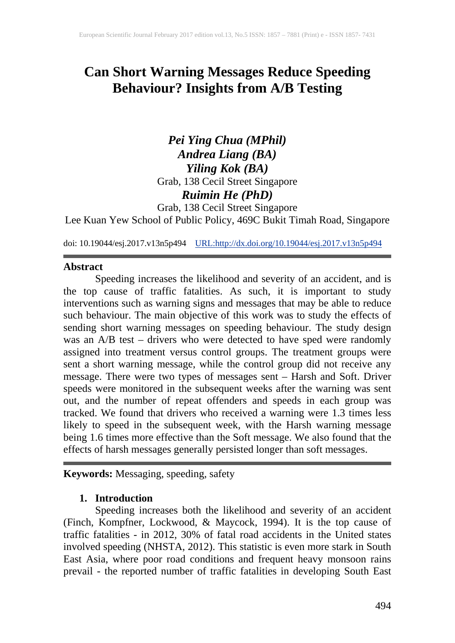# **Can Short Warning Messages Reduce Speeding Behaviour? Insights from A/B Testing**

# *Pei Ying Chua (MPhil) Andrea Liang (BA) Yiling Kok (BA)* Grab, 138 Cecil Street Singapore *Ruimin He (PhD)* Grab, 138 Cecil Street Singapore

Lee Kuan Yew School of Public Policy, 469C Bukit Timah Road, Singapore

doi: 10.19044/esj.2017.v13n5p494 [URL:http://dx.doi.org/10.19044/esj.2017.v13n5p494](http://dx.doi.org/10.19044/esj.2017.v13n5p494)

#### **Abstract**

Speeding increases the likelihood and severity of an accident, and is the top cause of traffic fatalities. As such, it is important to study interventions such as warning signs and messages that may be able to reduce such behaviour. The main objective of this work was to study the effects of sending short warning messages on speeding behaviour. The study design was an A/B test – drivers who were detected to have sped were randomly assigned into treatment versus control groups. The treatment groups were sent a short warning message, while the control group did not receive any message. There were two types of messages sent – Harsh and Soft. Driver speeds were monitored in the subsequent weeks after the warning was sent out, and the number of repeat offenders and speeds in each group was tracked. We found that drivers who received a warning were 1.3 times less likely to speed in the subsequent week, with the Harsh warning message being 1.6 times more effective than the Soft message. We also found that the effects of harsh messages generally persisted longer than soft messages.

**Keywords:** Messaging, speeding, safety

### **1. Introduction**

Speeding increases both the likelihood and severity of an accident (Finch, Kompfner, Lockwood, & Maycock, 1994). It is the top cause of traffic fatalities - in 2012, 30% of fatal road accidents in the United states involved speeding (NHSTA, 2012). This statistic is even more stark in South East Asia, where poor road conditions and frequent heavy monsoon rains prevail - the reported number of traffic fatalities in developing South East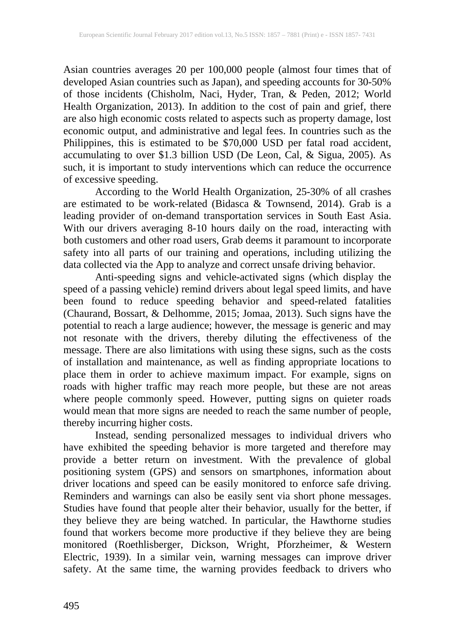Asian countries averages 20 per 100,000 people (almost four times that of developed Asian countries such as Japan), and speeding accounts for 30-50% of those incidents (Chisholm, Naci, Hyder, Tran, & Peden, 2012; World Health Organization, 2013). In addition to the cost of pain and grief, there are also high economic costs related to aspects such as property damage, lost economic output, and administrative and legal fees. In countries such as the Philippines, this is estimated to be \$70,000 USD per fatal road accident, accumulating to over \$1.3 billion USD (De Leon, Cal, & Sigua, 2005). As such, it is important to study interventions which can reduce the occurrence of excessive speeding.

According to the World Health Organization, 25-30% of all crashes are estimated to be work-related (Bidasca & Townsend, 2014). Grab is a leading provider of on-demand transportation services in South East Asia. With our drivers averaging 8-10 hours daily on the road, interacting with both customers and other road users, Grab deems it paramount to incorporate safety into all parts of our training and operations, including utilizing the data collected via the App to analyze and correct unsafe driving behavior.

Anti-speeding signs and vehicle-activated signs (which display the speed of a passing vehicle) remind drivers about legal speed limits, and have been found to reduce speeding behavior and speed-related fatalities (Chaurand, Bossart, & Delhomme, 2015; Jomaa, 2013). Such signs have the potential to reach a large audience; however, the message is generic and may not resonate with the drivers, thereby diluting the effectiveness of the message. There are also limitations with using these signs, such as the costs of installation and maintenance, as well as finding appropriate locations to place them in order to achieve maximum impact. For example, signs on roads with higher traffic may reach more people, but these are not areas where people commonly speed. However, putting signs on quieter roads would mean that more signs are needed to reach the same number of people, thereby incurring higher costs.

Instead, sending personalized messages to individual drivers who have exhibited the speeding behavior is more targeted and therefore may provide a better return on investment. With the prevalence of global positioning system (GPS) and sensors on smartphones, information about driver locations and speed can be easily monitored to enforce safe driving. Reminders and warnings can also be easily sent via short phone messages. Studies have found that people alter their behavior, usually for the better, if they believe they are being watched. In particular, the Hawthorne studies found that workers become more productive if they believe they are being monitored (Roethlisberger, Dickson, Wright, Pforzheimer, & Western Electric, 1939). In a similar vein, warning messages can improve driver safety. At the same time, the warning provides feedback to drivers who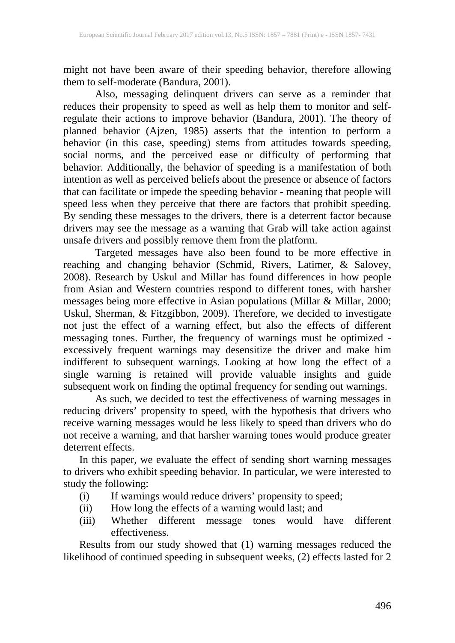might not have been aware of their speeding behavior, therefore allowing them to self-moderate (Bandura, 2001).

Also, messaging delinquent drivers can serve as a reminder that reduces their propensity to speed as well as help them to monitor and selfregulate their actions to improve behavior (Bandura, 2001). The theory of planned behavior (Ajzen, 1985) asserts that the intention to perform a behavior (in this case, speeding) stems from attitudes towards speeding, social norms, and the perceived ease or difficulty of performing that behavior. Additionally, the behavior of speeding is a manifestation of both intention as well as perceived beliefs about the presence or absence of factors that can facilitate or impede the speeding behavior - meaning that people will speed less when they perceive that there are factors that prohibit speeding. By sending these messages to the drivers, there is a deterrent factor because drivers may see the message as a warning that Grab will take action against unsafe drivers and possibly remove them from the platform.

Targeted messages have also been found to be more effective in reaching and changing behavior (Schmid, Rivers, Latimer, & Salovey, 2008). Research by Uskul and Millar has found differences in how people from Asian and Western countries respond to different tones, with harsher messages being more effective in Asian populations (Millar & Millar, 2000; Uskul, Sherman, & Fitzgibbon, 2009). Therefore, we decided to investigate not just the effect of a warning effect, but also the effects of different messaging tones. Further, the frequency of warnings must be optimized excessively frequent warnings may desensitize the driver and make him indifferent to subsequent warnings. Looking at how long the effect of a single warning is retained will provide valuable insights and guide subsequent work on finding the optimal frequency for sending out warnings.

As such, we decided to test the effectiveness of warning messages in reducing drivers' propensity to speed, with the hypothesis that drivers who receive warning messages would be less likely to speed than drivers who do not receive a warning, and that harsher warning tones would produce greater deterrent effects.

In this paper, we evaluate the effect of sending short warning messages to drivers who exhibit speeding behavior. In particular, we were interested to study the following:

- (i) If warnings would reduce drivers' propensity to speed;
- (ii) How long the effects of a warning would last; and
- (iii) Whether different message tones would have different effectiveness.

Results from our study showed that (1) warning messages reduced the likelihood of continued speeding in subsequent weeks, (2) effects lasted for 2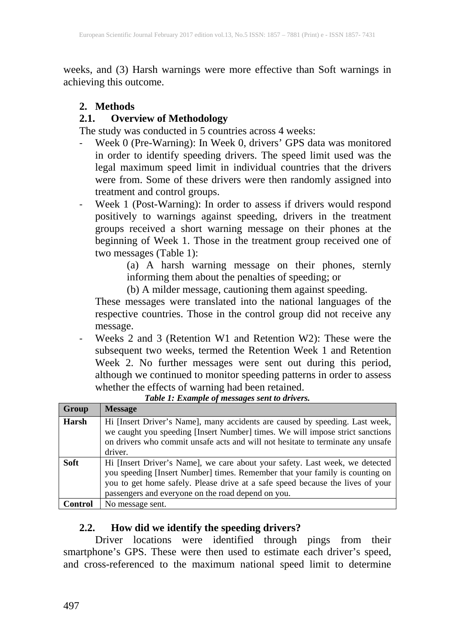weeks, and (3) Harsh warnings were more effective than Soft warnings in achieving this outcome.

# **2. Methods**

# **2.1. Overview of Methodology**

The study was conducted in 5 countries across 4 weeks:

- Week 0 (Pre-Warning): In Week 0, drivers' GPS data was monitored in order to identify speeding drivers. The speed limit used was the legal maximum speed limit in individual countries that the drivers were from. Some of these drivers were then randomly assigned into treatment and control groups.
- Week 1 (Post-Warning): In order to assess if drivers would respond positively to warnings against speeding, drivers in the treatment groups received a short warning message on their phones at the beginning of Week 1. Those in the treatment group received one of two messages (Table 1):

(a) A harsh warning message on their phones, sternly informing them about the penalties of speeding; or

(b) A milder message, cautioning them against speeding.

These messages were translated into the national languages of the respective countries. Those in the control group did not receive any message.

Weeks 2 and 3 (Retention W1 and Retention W2): These were the subsequent two weeks, termed the Retention Week 1 and Retention Week 2. No further messages were sent out during this period, although we continued to monitor speeding patterns in order to assess whether the effects of warning had been retained.

| Group       | <b>Message</b>                                                                  |
|-------------|---------------------------------------------------------------------------------|
| Harsh       | Hi [Insert Driver's Name], many accidents are caused by speeding. Last week,    |
|             | we caught you speeding [Insert Number] times. We will impose strict sanctions   |
|             | on drivers who commit unsafe acts and will not hesitate to terminate any unsafe |
|             | driver.                                                                         |
| <b>Soft</b> | Hi [Insert Driver's Name], we care about your safety. Last week, we detected    |
|             | you speeding [Insert Number] times. Remember that your family is counting on    |
|             | you to get home safely. Please drive at a safe speed because the lives of your  |
|             | passengers and everyone on the road depend on you.                              |
| Control     | No message sent.                                                                |

*Table 1: Example of messages sent to drivers.*

### **2.2. How did we identify the speeding drivers?**

Driver locations were identified through pings from their smartphone's GPS. These were then used to estimate each driver's speed, and cross-referenced to the maximum national speed limit to determine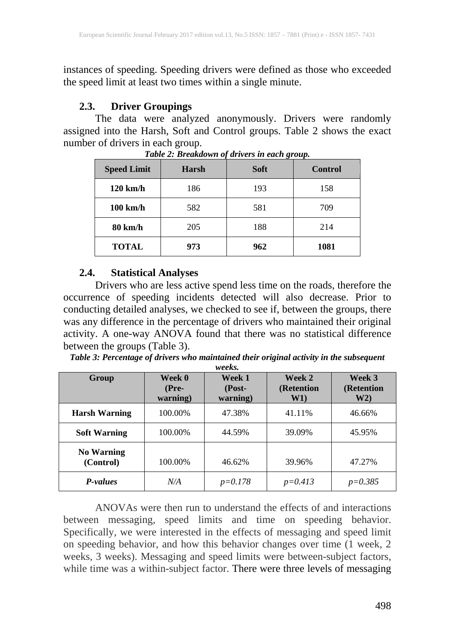instances of speeding. Speeding drivers were defined as those who exceeded the speed limit at least two times within a single minute.

### **2.3. Driver Groupings**

The data were analyzed anonymously. Drivers were randomly assigned into the Harsh, Soft and Control groups. Table 2 shows the exact number of drivers in each group.

| <b>Speed Limit</b><br><b>Harsh</b> |     | <b>Soft</b> | <b>Control</b> |
|------------------------------------|-----|-------------|----------------|
| $120 \text{ km/h}$                 | 186 | 193         | 158            |
| $100 \text{ km/h}$<br>582          |     | 581         | 709            |
| 80 km/h                            | 205 |             | 214            |
| <b>TOTAL</b>                       | 973 | 962         | 1081           |

*Table 2: Breakdown of drivers in each group.*

### **2.4. Statistical Analyses**

Drivers who are less active spend less time on the roads, therefore the occurrence of speeding incidents detected will also decrease. Prior to conducting detailed analyses, we checked to see if, between the groups, there was any difference in the percentage of drivers who maintained their original activity. A one-way ANOVA found that there was no statistical difference between the groups (Table 3).

| Table 3: Percentage of drivers who maintained their original activity in the subsequent |                   |  |
|-----------------------------------------------------------------------------------------|-------------------|--|
|                                                                                         | $\cdots$ $\cdots$ |  |

| Group                          | Week 0<br>$(Pre-$<br>warning) | Week 1<br>$(Post-$<br>warning) | Week 2<br>(Retention<br>W1) | Week 3<br>(Retention<br>W2) |
|--------------------------------|-------------------------------|--------------------------------|-----------------------------|-----------------------------|
| <b>Harsh Warning</b>           | 100.00%                       | 47.38%                         | 41.11%                      | 46.66%                      |
| <b>Soft Warning</b>            | 100.00%                       | 44.59%                         | 39.09%                      | 45.95%                      |
| <b>No Warning</b><br>(Control) | 100.00%                       | 46.62%                         | 39.96%                      | 47.27%                      |
| P-values                       | N/A                           | $p=0.178$                      | $p = 0.413$                 | $p = 0.385$                 |

ANOVAs were then run to understand the effects of and interactions between messaging, speed limits and time on speeding behavior. Specifically, we were interested in the effects of messaging and speed limit on speeding behavior, and how this behavior changes over time (1 week, 2 weeks, 3 weeks). Messaging and speed limits were between-subject factors, while time was a within-subject factor. There were three levels of messaging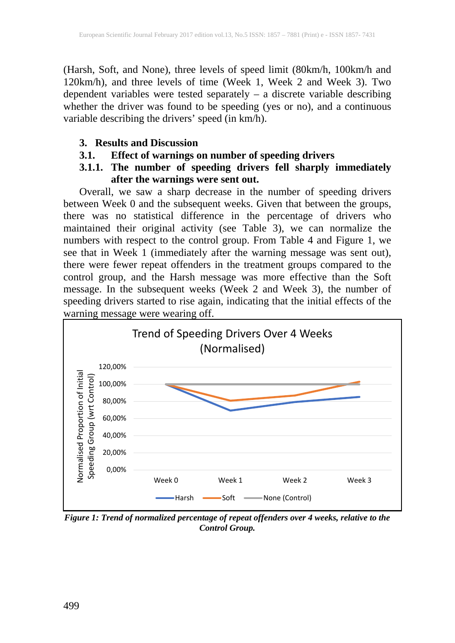(Harsh, Soft, and None), three levels of speed limit (80km/h, 100km/h and 120km/h), and three levels of time (Week 1, Week 2 and Week 3). Two dependent variables were tested separately – a discrete variable describing whether the driver was found to be speeding (yes or no), and a continuous variable describing the drivers' speed (in  $km/h$ ).

### **3. Results and Discussion**

# **3.1. Effect of warnings on number of speeding drivers**

# **3.1.1. The number of speeding drivers fell sharply immediately after the warnings were sent out.**

Overall, we saw a sharp decrease in the number of speeding drivers between Week 0 and the subsequent weeks. Given that between the groups, there was no statistical difference in the percentage of drivers who maintained their original activity (see Table 3), we can normalize the numbers with respect to the control group. From Table 4 and Figure 1, we see that in Week 1 (immediately after the warning message was sent out), there were fewer repeat offenders in the treatment groups compared to the control group, and the Harsh message was more effective than the Soft message. In the subsequent weeks (Week 2 and Week 3), the number of speeding drivers started to rise again, indicating that the initial effects of the warning message were wearing off.



*Figure 1: Trend of normalized percentage of repeat offenders over 4 weeks, relative to the Control Group.*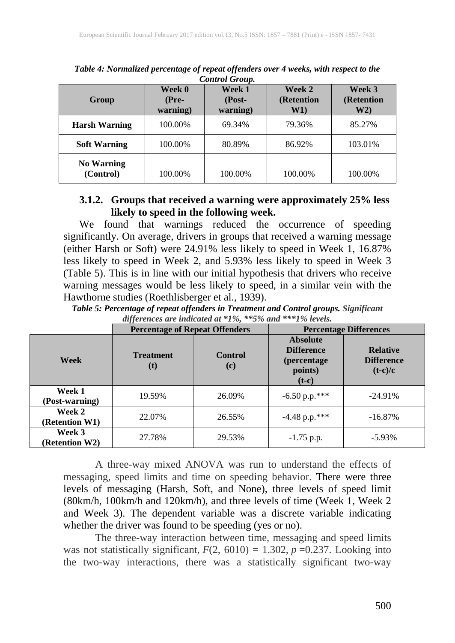| <b>Group</b>                   | Week 0<br>(Pre-<br>warning) | Week 1<br>$(Post-$<br>warning) | Week 2<br>(Retention<br>W1) | Week 3<br>(Retention<br>W2) |  |
|--------------------------------|-----------------------------|--------------------------------|-----------------------------|-----------------------------|--|
| <b>Harsh Warning</b>           | 100.00%                     | 69.34%                         | 79.36%                      | 85.27%                      |  |
| <b>Soft Warning</b>            | 100.00%                     | 80.89%                         | 86.92%                      | 103.01%                     |  |
| <b>No Warning</b><br>(Control) | 100.00%                     | 100.00%                        | 100.00%                     | 100.00%                     |  |

*Table 4: Normalized percentage of repeat offenders over 4 weeks, with respect to the Control Group.*

### **3.1.2. Groups that received a warning were approximately 25% less likely to speed in the following week.**

We found that warnings reduced the occurrence of speeding significantly. On average, drivers in groups that received a warning message (either Harsh or Soft) were 24.91% less likely to speed in Week 1, 16.87% less likely to speed in Week 2, and 5.93% less likely to speed in Week 3 (Table 5). This is in line with our initial hypothesis that drivers who receive warning messages would be less likely to speed, in a similar vein with the Hawthorne studies (Roethlisberger et al., 1939).

*Table 5: Percentage of repeat offenders in Treatment and Control groups. Significant differences are indicated at \*1%, \*\*5% and \*\*\*1% levels.*

|                                 | <b>Percentage of Repeat Offenders</b>            | <b>Percentage Differences</b> |                                                                                   |                                                   |
|---------------------------------|--------------------------------------------------|-------------------------------|-----------------------------------------------------------------------------------|---------------------------------------------------|
| Week                            | <b>Control</b><br><b>Treatment</b><br>(c)<br>(t) |                               | <b>Absolute</b><br><b>Difference</b><br><i>(percentage)</i><br>points)<br>$(t-c)$ | <b>Relative</b><br><b>Difference</b><br>$(t-c)/c$ |
| Week 1<br>(Post-warning)        | 19.59%<br>26.09%                                 |                               | $-6.50$ p.p.***                                                                   | $-24.91\%$                                        |
| Week 2<br>(Retention W1)        | 22.07%<br>26.55%                                 |                               | $-4.48$ p.p.***                                                                   | $-16.87\%$                                        |
| Week 3<br><b>(Retention W2)</b> | 27.78%                                           | 29.53%                        | $-1.75$ p.p.                                                                      | $-5.93\%$                                         |

A three-way mixed ANOVA was run to understand the effects of messaging, speed limits and time on speeding behavior. There were three levels of messaging (Harsh, Soft, and None), three levels of speed limit (80km/h, 100km/h and 120km/h), and three levels of time (Week 1, Week 2 and Week 3). The dependent variable was a discrete variable indicating whether the driver was found to be speeding (yes or no).

The three-way interaction between time, messaging and speed limits was not statistically significant,  $F(2, 6010) = 1.302$ ,  $p = 0.237$ . Looking into the two-way interactions, there was a statistically significant two-way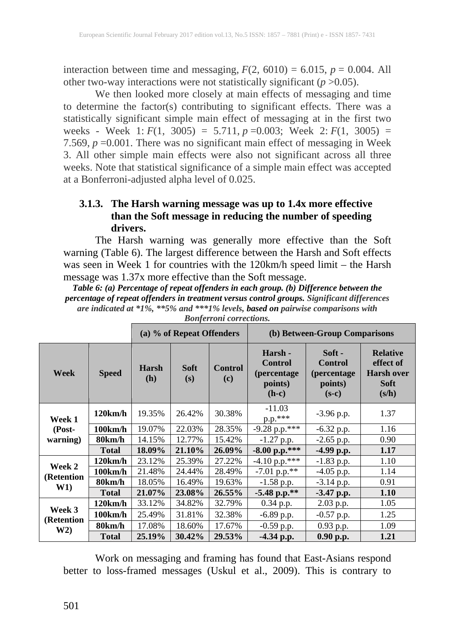interaction between time and messaging,  $F(2, 6010) = 6.015$ ,  $p = 0.004$ . All other two-way interactions were not statistically significant ( $p > 0.05$ ).

We then looked more closely at main effects of messaging and time to determine the factor(s) contributing to significant effects. There was a statistically significant simple main effect of messaging at in the first two weeks - Week 1:  $F(1, 3005) = 5.711$ ,  $p = 0.003$ ; Week 2:  $F(1, 3005) =$ 7.569,  $p = 0.001$ . There was no significant main effect of messaging in Week 3. All other simple main effects were also not significant across all three weeks. Note that statistical significance of a simple main effect was accepted at a Bonferroni-adjusted alpha level of 0.025.

# **3.1.3. The Harsh warning message was up to 1.4x more effective than the Soft message in reducing the number of speeding drivers.**

The Harsh warning was generally more effective than the Soft warning (Table 6). The largest difference between the Harsh and Soft effects was seen in Week 1 for countries with the 120km/h speed limit – the Harsh message was 1.37x more effective than the Soft message.

*Table 6: (a) Percentage of repeat offenders in each group. (b) Difference between the percentage of repeat offenders in treatment versus control groups. Significant differences are indicated at \*1%, \*\*5% and \*\*\*1% levels, based on pairwise comparisons with*

|                      |                     |                                                                                                                                                                                                        | (a) % of Repeat Offenders |                                                                           | (b) Between-Group Comparisons |              |      |  |
|----------------------|---------------------|--------------------------------------------------------------------------------------------------------------------------------------------------------------------------------------------------------|---------------------------|---------------------------------------------------------------------------|-------------------------------|--------------|------|--|
| Week                 | <b>Speed</b>        | Soft -<br>Harsh -<br><b>Control</b><br><b>Control</b><br><b>Soft</b><br><b>Control</b><br><b>Harsh</b><br>(percentage)<br>(percentage<br>(h)<br>(s)<br>(c)<br>points)<br>points)<br>$(h-c)$<br>$(s-c)$ |                           | <b>Relative</b><br>effect of<br><b>Harsh over</b><br><b>Soft</b><br>(s/h) |                               |              |      |  |
| Week 1               | 120km/h             | 19.35%                                                                                                                                                                                                 | 26.42%                    | 30.38%                                                                    | $-11.03$<br>p.p.***           | $-3.96$ p.p. | 1.37 |  |
| (Post-               | $100 \mathrm{km/h}$ | 19.07%                                                                                                                                                                                                 | 22.03%                    | 28.35%                                                                    | $-9.28$ p.p.***               | $-6.32$ p.p. | 1.16 |  |
| warning)             | 80km/h              | 14.15%                                                                                                                                                                                                 | 12.77%                    | 15.42%                                                                    | $-1.27$ p.p.                  | $-2.65$ p.p. | 0.90 |  |
|                      | <b>Total</b>        | 18.09%                                                                                                                                                                                                 | 21.10%                    | 26.09%                                                                    | $-8.00$ p.p.***               | $-4.99$ p.p. | 1.17 |  |
|                      | $120 \mathrm{km/h}$ | 23.12%                                                                                                                                                                                                 | 25.39%                    | 27.22%                                                                    | $-4.10$ p.p.***               | $-1.83$ p.p. | 1.10 |  |
| Week 2               | $100 \mathrm{km/h}$ | 21.48%                                                                                                                                                                                                 | 24.44%                    | 28.49%                                                                    | $-7.01$ p.p.**                | $-4.05$ p.p. | 1.14 |  |
| (Retention<br>W1)    | 80km/h              | 18.05%                                                                                                                                                                                                 | 16.49%                    | 19.63%                                                                    | $-1.58$ p.p.                  | $-3.14$ p.p. | 0.91 |  |
|                      | <b>Total</b>        | 21.07%                                                                                                                                                                                                 | 23.08%                    | $26.55\%$                                                                 | $-5.48$ p.p.**                | $-3.47$ p.p. | 1.10 |  |
|                      | 120km/h             | 33.12%                                                                                                                                                                                                 | 34.82%                    | 32.79%                                                                    | $0.34$ p.p.                   | 2.03 p.p.    | 1.05 |  |
| Week 3<br>(Retention | $100 \mathrm{km/h}$ | 25.49%                                                                                                                                                                                                 | 31.81%                    | 32.38%                                                                    | $-6.89$ p.p.                  | $-0.57$ p.p. | 1.25 |  |
| W2)                  | 80km/h              | 17.08%                                                                                                                                                                                                 | 18.60%                    | 17.67%                                                                    | $-0.59$ p.p.                  | 0.93 p.p.    | 1.09 |  |
|                      | <b>Total</b>        | 25.19%                                                                                                                                                                                                 | 30.42%                    | 29.53%                                                                    | $-4.34$ p.p.                  | 0.90 p.p.    | 1.21 |  |

*Bonferroni corrections.*

Work on messaging and framing has found that East-Asians respond better to loss-framed messages (Uskul et al., 2009). This is contrary to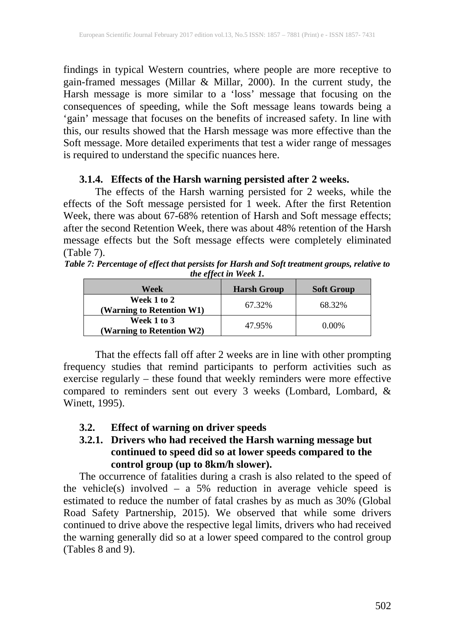findings in typical Western countries, where people are more receptive to gain-framed messages (Millar & Millar, 2000). In the current study, the Harsh message is more similar to a 'loss' message that focusing on the consequences of speeding, while the Soft message leans towards being a 'gain' message that focuses on the benefits of increased safety. In line with this, our results showed that the Harsh message was more effective than the Soft message. More detailed experiments that test a wider range of messages is required to understand the specific nuances here.

### **3.1.4. Effects of the Harsh warning persisted after 2 weeks.**

The effects of the Harsh warning persisted for 2 weeks, while the effects of the Soft message persisted for 1 week. After the first Retention Week, there was about 67-68% retention of Harsh and Soft message effects; after the second Retention Week, there was about 48% retention of the Harsh message effects but the Soft message effects were completely eliminated (Table 7).

*Table 7: Percentage of effect that persists for Harsh and Soft treatment groups, relative to the effect in Week 1.*

| Week                                     | <b>Harsh Group</b> | <b>Soft Group</b> |
|------------------------------------------|--------------------|-------------------|
| Week 1 to 2<br>(Warning to Retention W1) | 67.32%             | 68.32%            |
| Week 1 to 3<br>(Warning to Retention W2) | 47.95%             | 0.00%             |

That the effects fall off after 2 weeks are in line with other prompting frequency studies that remind participants to perform activities such as exercise regularly – these found that weekly reminders were more effective compared to reminders sent out every 3 weeks (Lombard, Lombard, & Winett, 1995).

**3.2. Effect of warning on driver speeds**

# **3.2.1. Drivers who had received the Harsh warning message but continued to speed did so at lower speeds compared to the control group (up to 8km/h slower).**

The occurrence of fatalities during a crash is also related to the speed of the vehicle(s) involved – a 5% reduction in average vehicle speed is estimated to reduce the number of fatal crashes by as much as 30% (Global Road Safety Partnership, 2015). We observed that while some drivers continued to drive above the respective legal limits, drivers who had received the warning generally did so at a lower speed compared to the control group (Tables 8 and 9).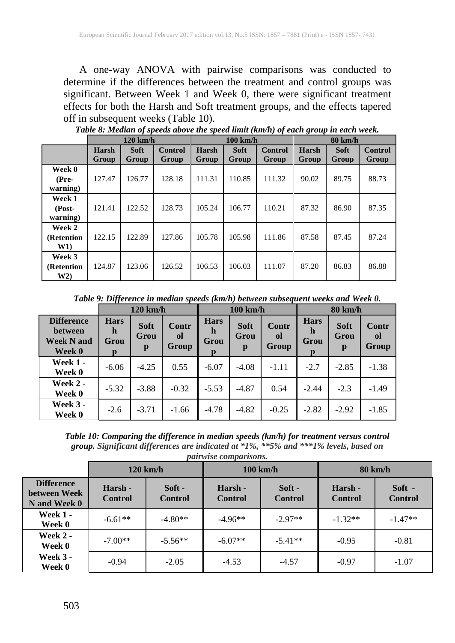A one-way ANOVA with pairwise comparisons was conducted to determine if the differences between the treatment and control groups was significant. Between Week 1 and Week 0, there were significant treatment effects for both the Harsh and Soft treatment groups, and the effects tapered off in subsequent weeks (Table 10).

|                              | $120 \text{ km/h}$ |                      |                         | $100 \text{ km/h}$ |                      |                         |                       |                      | 80 km/h                 |  |
|------------------------------|--------------------|----------------------|-------------------------|--------------------|----------------------|-------------------------|-----------------------|----------------------|-------------------------|--|
|                              | Harsh<br>Group     | <b>Soft</b><br>Group | <b>Control</b><br>Group | Harsh<br>Group     | <b>Soft</b><br>Group | <b>Control</b><br>Group | <b>Harsh</b><br>Group | <b>Soft</b><br>Group | <b>Control</b><br>Group |  |
| Week 0<br>(Pre-<br>warning)  | 127.47             | 126.77               | 128.18                  | 111.31             | 110.85               | 111.32                  | 90.02                 | 89.75                | 88.73                   |  |
| Week 1<br>(Post-<br>warning) | 121.41             | 122.52               | 128.73                  | 105.24             | 106.77               | 110.21                  | 87.32                 | 86.90                | 87.35                   |  |
| Week 2<br>(Retention<br>W1)  | 122.15             | 122.89               | 127.86                  | 105.78             | 105.98               | 111.86                  | 87.58                 | 87.45                | 87.24                   |  |
| Week 3<br>(Retention<br>W2)  | 124.87             | 123.06               | 126.52                  | 106.53             | 106.03               | 111.07                  | 87.20                 | 86.83                | 86.88                   |  |

*Table 8: Median of speeds above the speed limit (km/h) of each group in each week.*

*Table 9: Difference in median speeds (km/h) between subsequent weeks and Week 0.*

|                                                             | $120 \text{ km/h}$            |                          |                      | $100 \text{ km/h}$                       |                          |                             |                          | $80 \text{ km/h}$        |                      |
|-------------------------------------------------------------|-------------------------------|--------------------------|----------------------|------------------------------------------|--------------------------|-----------------------------|--------------------------|--------------------------|----------------------|
| <b>Difference</b><br>between<br><b>Week N and</b><br>Week 0 | <b>Hars</b><br>h<br>Grou<br>p | <b>Soft</b><br>Grou<br>p | Contr<br>ol<br>Group | <b>Hars</b><br>h<br>Grou<br>$\mathbf{p}$ | <b>Soft</b><br>Grou<br>p | Contr<br>0l<br><b>Group</b> | <b>Hars</b><br>h<br>Grou | <b>Soft</b><br>Grou<br>p | Contr<br>ol<br>Group |
| <b>Week 1 -</b><br>Week 0                                   | $-6.06$                       | $-4.25$                  | 0.55                 | $-6.07$                                  | $-4.08$                  | $-1.11$                     | $-2.7$                   | $-2.85$                  | $-1.38$              |
| <b>Week 2 -</b><br>Week 0                                   | $-5.32$                       | $-3.88$                  | $-0.32$              | $-5.53$                                  | $-4.87$                  | 0.54                        | $-2.44$                  | $-2.3$                   | $-1.49$              |
| <b>Week 3 -</b><br>Week 0                                   | $-2.6$                        | $-3.71$                  | $-1.66$              | $-4.78$                                  | $-4.82$                  | $-0.25$                     | $-2.82$                  | $-2.92$                  | $-1.85$              |

*Table 10: Comparing the difference in median speeds (km/h) for treatment versus control group. Significant differences are indicated at \*1%, \*\*5% and \*\*\*1% levels, based on pairwise comparisons.*

|                                                   |                           | $120 \text{ km/h}$         |                           | $100 \text{ km/h}$         | $80 \text{ km/h}$         |                          |  |
|---------------------------------------------------|---------------------------|----------------------------|---------------------------|----------------------------|---------------------------|--------------------------|--|
| <b>Difference</b><br>between Week<br>N and Week 0 | Harsh -<br><b>Control</b> | $Soft -$<br><b>Control</b> | Harsh -<br><b>Control</b> | $Soft -$<br><b>Control</b> | Harsh -<br><b>Control</b> | Soft -<br><b>Control</b> |  |
| <b>Week 1 -</b><br>Week 0                         | $-6.61**$                 | $-4.80**$                  | $-4.96**$                 | $-2.97**$                  | $-1.32**$                 | $-1.47**$                |  |
| Week 2 -<br>Week 0                                | $-7.00**$                 | $-5.56**$                  | $-6.07**$                 | $-5.41**$                  | $-0.95$                   | $-0.81$                  |  |
| <b>Week 3 -</b><br>Week 0                         | $-0.94$                   | $-2.05$                    | $-4.53$                   | $-4.57$                    | $-0.97$                   | $-1.07$                  |  |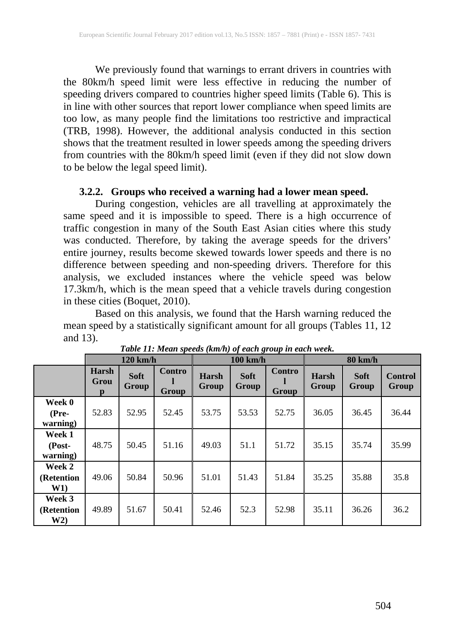We previously found that warnings to errant drivers in countries with the 80km/h speed limit were less effective in reducing the number of speeding drivers compared to countries higher speed limits (Table 6). This is in line with other sources that report lower compliance when speed limits are too low, as many people find the limitations too restrictive and impractical (TRB, 1998). However, the additional analysis conducted in this section shows that the treatment resulted in lower speeds among the speeding drivers from countries with the 80km/h speed limit (even if they did not slow down to be below the legal speed limit).

### **3.2.2. Groups who received a warning had a lower mean speed.**

During congestion, vehicles are all travelling at approximately the same speed and it is impossible to speed. There is a high occurrence of traffic congestion in many of the South East Asian cities where this study was conducted. Therefore, by taking the average speeds for the drivers' entire journey, results become skewed towards lower speeds and there is no difference between speeding and non-speeding drivers. Therefore for this analysis, we excluded instances where the vehicle speed was below 17.3km/h, which is the mean speed that a vehicle travels during congestion in these cities (Boquet, 2010).

Based on this analysis, we found that the Harsh warning reduced the mean speed by a statistically significant amount for all groups (Tables 11, 12 and 13).

|                                         |                                      | $120 \text{ km/h}$          |                 |                       | 100 km/h             |                        | $80 \text{ km/h}$     |                      |                         |
|-----------------------------------------|--------------------------------------|-----------------------------|-----------------|-----------------------|----------------------|------------------------|-----------------------|----------------------|-------------------------|
|                                         | <b>Harsh</b><br>Grou<br>$\mathbf{p}$ | <b>Soft</b><br><b>Group</b> | Contro<br>Group | Harsh<br><b>Group</b> | <b>Soft</b><br>Group | Contro<br><b>Group</b> | Harsh<br><b>Group</b> | <b>Soft</b><br>Group | <b>Control</b><br>Group |
| Week 0<br>(Pre-<br>warning)             | 52.83                                | 52.95                       | 52.45           | 53.75                 | 53.53                | 52.75                  | 36.05                 | 36.45                | 36.44                   |
| Week 1<br>(Post-<br>warning)            | 48.75                                | 50.45                       | 51.16           | 49.03                 | 51.1                 | 51.72                  | 35.15                 | 35.74                | 35.99                   |
| Week 2<br>(Retention<br>W1)             | 49.06                                | 50.84                       | 50.96           | 51.01                 | 51.43                | 51.84                  | 35.25                 | 35.88                | 35.8                    |
| Week 3<br>(Retention)<br>W <sub>2</sub> | 49.89                                | 51.67                       | 50.41           | 52.46                 | 52.3                 | 52.98                  | 35.11                 | 36.26                | 36.2                    |

*Table 11: Mean speeds (km/h) of each group in each week.*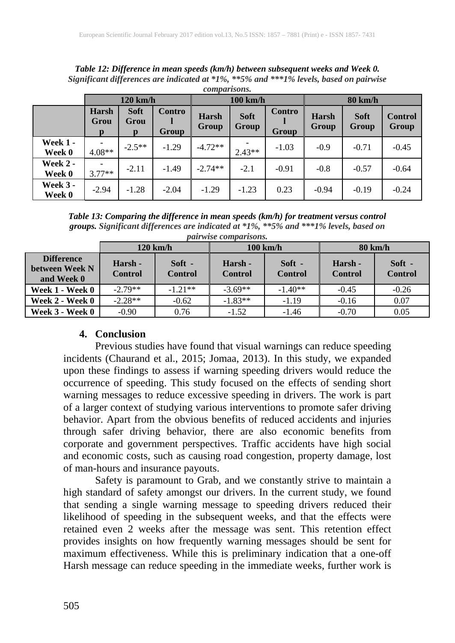*Table 12: Difference in mean speeds (km/h) between subsequent weeks and Week 0. Significant differences are indicated at \*1%, \*\*5% and \*\*\*1% levels, based on pairwise comparisons.* **120 km/h 100 km/h 80 km/h Harsh Soft Contro Harsh Soft Contro Harsh Soft**

|                           | ---------                 |                          |                        | 100 MM J              |                      |                 | .                     |                      |                         |  |
|---------------------------|---------------------------|--------------------------|------------------------|-----------------------|----------------------|-----------------|-----------------------|----------------------|-------------------------|--|
|                           | <b>Harsh</b><br>Grou<br>n | <b>Soft</b><br>Grou<br>D | Contro<br><b>Group</b> | Harsh<br><b>Group</b> | <b>Soft</b><br>Group | Contro<br>Group | <b>Harsh</b><br>Group | <b>Soft</b><br>Group | <b>Control</b><br>Group |  |
| <b>Week 1 -</b><br>Week 0 | 4.08**                    | $-2.5**$                 | $-1.29$                | $-4.72**$             | $2.43**$             | $-1.03$         | $-0.9$                | $-0.71$              | $-0.45$                 |  |
| <b>Week 2 -</b><br>Week 0 | $3.77**$                  | $-2.11$                  | $-1.49$                | $-2.74**$             | $-2.1$               | $-0.91$         | $-0.8$                | $-0.57$              | $-0.64$                 |  |
| <b>Week 3 -</b><br>Week 0 | $-2.94$                   | $-1.28$                  | $-2.04$                | $-1.29$               | $-1.23$              | 0.23            | $-0.94$               | $-0.19$              | $-0.24$                 |  |

*Table 13: Comparing the difference in mean speeds (km/h) for treatment versus control groups. Significant differences are indicated at \*1%, \*\*5% and \*\*\*1% levels, based on pairwise comparisons.*

|                                                   |                           | $120 \text{ km/h}$         |                           | $100 \text{ km/h}$       | $80 \text{ km/h}$         |                          |  |
|---------------------------------------------------|---------------------------|----------------------------|---------------------------|--------------------------|---------------------------|--------------------------|--|
| <b>Difference</b><br>between Week N<br>and Week 0 | Harsh -<br><b>Control</b> | $Soft -$<br><b>Control</b> | Harsh -<br><b>Control</b> | Soft -<br><b>Control</b> | Harsh -<br><b>Control</b> | Soft -<br><b>Control</b> |  |
| Week 1 - Week 0                                   | $-2.79**$                 | $-1.21**$                  | $-3.69**$                 | $-1.40**$                | $-0.45$                   | $-0.26$                  |  |
| Week 2 - Week 0                                   | $-2.28**$                 | $-0.62$                    | $-1.83**$                 | $-1.19$                  | $-0.16$                   | 0.07                     |  |
| Week 3 - Week 0                                   | $-0.90$                   | 0.76                       | $-1.52$                   | $-1.46$                  | $-0.70$                   | 0.05                     |  |

### **4. Conclusion**

Previous studies have found that visual warnings can reduce speeding incidents (Chaurand et al., 2015; Jomaa, 2013). In this study, we expanded upon these findings to assess if warning speeding drivers would reduce the occurrence of speeding. This study focused on the effects of sending short warning messages to reduce excessive speeding in drivers. The work is part of a larger context of studying various interventions to promote safer driving behavior. Apart from the obvious benefits of reduced accidents and injuries through safer driving behavior, there are also economic benefits from corporate and government perspectives. Traffic accidents have high social and economic costs, such as causing road congestion, property damage, lost of man-hours and insurance payouts.

Safety is paramount to Grab, and we constantly strive to maintain a high standard of safety amongst our drivers. In the current study, we found that sending a single warning message to speeding drivers reduced their likelihood of speeding in the subsequent weeks, and that the effects were retained even 2 weeks after the message was sent. This retention effect provides insights on how frequently warning messages should be sent for maximum effectiveness. While this is preliminary indication that a one-off Harsh message can reduce speeding in the immediate weeks, further work is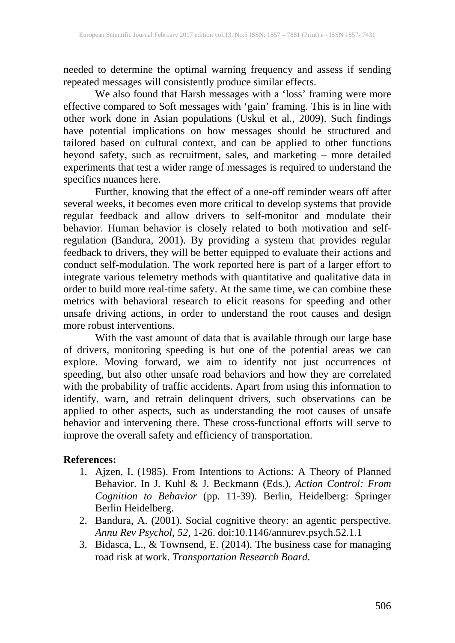needed to determine the optimal warning frequency and assess if sending repeated messages will consistently produce similar effects.

We also found that Harsh messages with a 'loss' framing were more effective compared to Soft messages with 'gain' framing. This is in line with other work done in Asian populations (Uskul et al., 2009). Such findings have potential implications on how messages should be structured and tailored based on cultural context, and can be applied to other functions beyond safety, such as recruitment, sales, and marketing – more detailed experiments that test a wider range of messages is required to understand the specifics nuances here.

Further, knowing that the effect of a one-off reminder wears off after several weeks, it becomes even more critical to develop systems that provide regular feedback and allow drivers to self-monitor and modulate their behavior. Human behavior is closely related to both motivation and selfregulation (Bandura, 2001). By providing a system that provides regular feedback to drivers, they will be better equipped to evaluate their actions and conduct self-modulation. The work reported here is part of a larger effort to integrate various telemetry methods with quantitative and qualitative data in order to build more real-time safety. At the same time, we can combine these metrics with behavioral research to elicit reasons for speeding and other unsafe driving actions, in order to understand the root causes and design more robust interventions.

With the vast amount of data that is available through our large base of drivers, monitoring speeding is but one of the potential areas we can explore. Moving forward, we aim to identify not just occurrences of speeding, but also other unsafe road behaviors and how they are correlated with the probability of traffic accidents. Apart from using this information to identify, warn, and retrain delinquent drivers, such observations can be applied to other aspects, such as understanding the root causes of unsafe behavior and intervening there. These cross-functional efforts will serve to improve the overall safety and efficiency of transportation.

### **References:**

- 1. Ajzen, I. (1985). From Intentions to Actions: A Theory of Planned Behavior. In J. Kuhl & J. Beckmann (Eds.), *Action Control: From Cognition to Behavior* (pp. 11-39). Berlin, Heidelberg: Springer Berlin Heidelberg.
- 2. Bandura, A. (2001). Social cognitive theory: an agentic perspective. *Annu Rev Psychol, 52*, 1-26. doi:10.1146/annurev.psych.52.1.1
- 3. Bidasca, L., & Townsend, E. (2014). The business case for managing road risk at work. *Transportation Research Board*.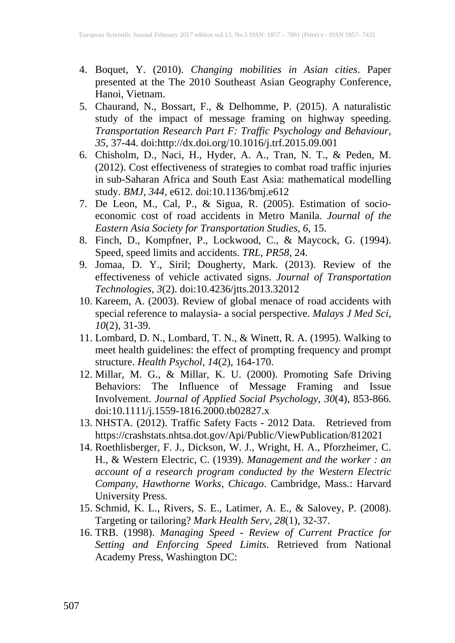- 4. Boquet, Y. (2010). *Changing mobilities in Asian cities*. Paper presented at the The 2010 Southeast Asian Geography Conference, Hanoi, Vietnam.
- 5. Chaurand, N., Bossart, F., & Delhomme, P. (2015). A naturalistic study of the impact of message framing on highway speeding. *Transportation Research Part F: Traffic Psychology and Behaviour, 35*, 37-44. doi:http://dx.doi.org/10.1016/j.trf.2015.09.001
- 6. Chisholm, D., Naci, H., Hyder, A. A., Tran, N. T., & Peden, M. (2012). Cost effectiveness of strategies to combat road traffic injuries in sub-Saharan Africa and South East Asia: mathematical modelling study. *BMJ, 344*, e612. doi:10.1136/bmj.e612
- 7. De Leon, M., Cal, P., & Sigua, R. (2005). Estimation of socioeconomic cost of road accidents in Metro Manila. *Journal of the Eastern Asia Society for Transportation Studies, 6*, 15.
- 8. Finch, D., Kompfner, P., Lockwood, C., & Maycock, G. (1994). Speed, speed limits and accidents. *TRL, PR58,* 24.
- 9. Jomaa, D. Y., Siril; Dougherty, Mark. (2013). Review of the effectiveness of vehicle activated signs. *Journal of Transportation Technologies, 3*(2). doi:10.4236/jtts.2013.32012
- 10. Kareem, A. (2003). Review of global menace of road accidents with special reference to malaysia- a social perspective. *Malays J Med Sci, 10*(2), 31-39.
- 11. Lombard, D. N., Lombard, T. N., & Winett, R. A. (1995). Walking to meet health guidelines: the effect of prompting frequency and prompt structure. *Health Psychol, 14*(2), 164-170.
- 12. Millar, M. G., & Millar, K. U. (2000). Promoting Safe Driving Behaviors: The Influence of Message Framing and Issue Involvement. *Journal of Applied Social Psychology, 30*(4), 853-866. doi:10.1111/j.1559-1816.2000.tb02827.x
- 13. NHSTA. (2012). Traffic Safety Facts 2012 Data. Retrieved from https://crashstats.nhtsa.dot.gov/Api/Public/ViewPublication/812021
- 14. Roethlisberger, F. J., Dickson, W. J., Wright, H. A., Pforzheimer, C. H., & Western Electric, C. (1939). *Management and the worker : an account of a research program conducted by the Western Electric Company, Hawthorne Works, Chicago*. Cambridge, Mass.: Harvard University Press.
- 15. Schmid, K. L., Rivers, S. E., Latimer, A. E., & Salovey, P. (2008). Targeting or tailoring? *Mark Health Serv, 28*(1), 32-37.
- 16. TRB. (1998). *Managing Speed - Review of Current Practice for Setting and Enforcing Speed Limits*. Retrieved from National Academy Press, Washington DC: